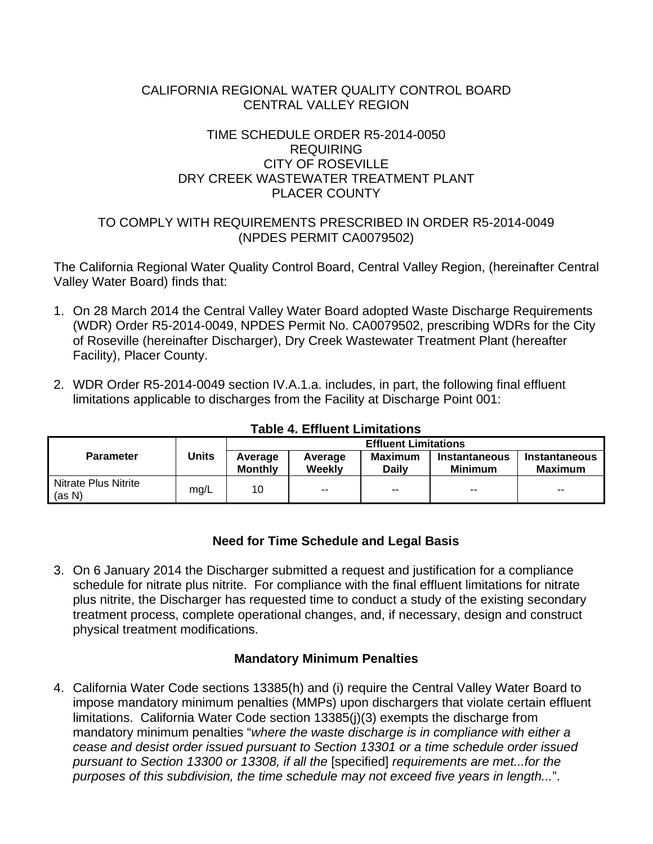#### CALIFORNIA REGIONAL WATER QUALITY CONTROL BOARD CENTRAL VALLEY REGION

### TIME SCHEDULE ORDER R5-2014-0050 REQUIRING CITY OF ROSEVILLE DRY CREEK WASTEWATER TREATMENT PLANT PLACER COUNTY

# TO COMPLY WITH REQUIREMENTS PRESCRIBED IN ORDER R5-2014-0049 (NPDES PERMIT CA0079502)

The California Regional Water Quality Control Board, Central Valley Region, (hereinafter Central Valley Water Board) finds that:

- 1. On 28 March 2014 the Central Valley Water Board adopted Waste Discharge Requirements (WDR) Order R5-2014-0049, NPDES Permit No. CA0079502, prescribing WDRs for the City of Roseville (hereinafter Discharger), Dry Creek Wastewater Treatment Plant (hereafter Facility), Placer County.
- 2. WDR Order R5-2014-0049 section IV.A.1.a. includes, in part, the following final effluent limitations applicable to discharges from the Facility at Discharge Point 001:

|                                | <b>Units</b> | <b>Effluent Limitations</b> |                   |                          |                                 |                          |  |
|--------------------------------|--------------|-----------------------------|-------------------|--------------------------|---------------------------------|--------------------------|--|
| <b>Parameter</b>               |              | Average<br><b>Monthly</b>   | Average<br>Weekly | Maximum<br><b>Daily</b>  | Instantaneous<br><b>Minimum</b> | Instantaneous<br>Maximum |  |
| Nitrate Plus Nitrite<br>(as N) | mg/L         | 10                          | $\sim$ $\sim$     | $\overline{\phantom{a}}$ | $- -$                           | $\overline{\phantom{a}}$ |  |

### **Table 4. Effluent Limitations**

# **Need for Time Schedule and Legal Basis**

3. On 6 January 2014 the Discharger submitted a request and justification for a compliance schedule for nitrate plus nitrite. For compliance with the final effluent limitations for nitrate plus nitrite, the Discharger has requested time to conduct a study of the existing secondary treatment process, complete operational changes, and, if necessary, design and construct physical treatment modifications.

# **Mandatory Minimum Penalties**

4. California Water Code sections 13385(h) and (i) require the Central Valley Water Board to impose mandatory minimum penalties (MMPs) upon dischargers that violate certain effluent limitations. California Water Code section 13385(j)(3) exempts the discharge from mandatory minimum penalties "*where the waste discharge is in compliance with either a cease and desist order issued pursuant to Section 13301 or a time schedule order issued pursuant to Section 13300 or 13308, if all the* [specified] *requirements are met...for the purposes of this subdivision, the time schedule may not exceed five years in length...*".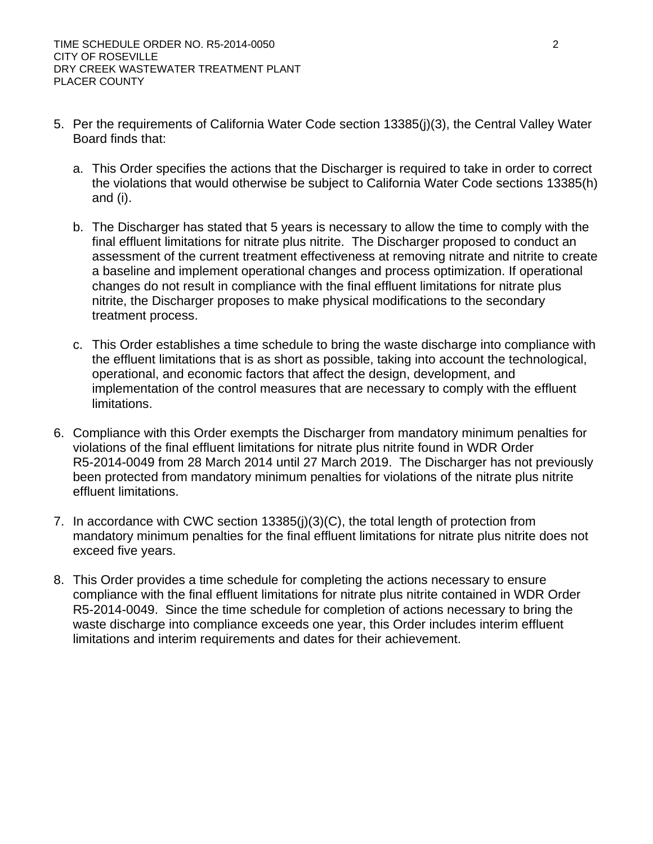- 5. Per the requirements of California Water Code section 13385(j)(3), the Central Valley Water Board finds that:
	- a. This Order specifies the actions that the Discharger is required to take in order to correct the violations that would otherwise be subject to California Water Code sections 13385(h) and (i).
	- b. The Discharger has stated that 5 years is necessary to allow the time to comply with the final effluent limitations for nitrate plus nitrite. The Discharger proposed to conduct an assessment of the current treatment effectiveness at removing nitrate and nitrite to create a baseline and implement operational changes and process optimization. If operational changes do not result in compliance with the final effluent limitations for nitrate plus nitrite, the Discharger proposes to make physical modifications to the secondary treatment process.
	- c. This Order establishes a time schedule to bring the waste discharge into compliance with the effluent limitations that is as short as possible, taking into account the technological, operational, and economic factors that affect the design, development, and implementation of the control measures that are necessary to comply with the effluent limitations.
- 6. Compliance with this Order exempts the Discharger from mandatory minimum penalties for violations of the final effluent limitations for nitrate plus nitrite found in WDR Order R5-2014-0049 from 28 March 2014 until 27 March 2019. The Discharger has not previously been protected from mandatory minimum penalties for violations of the nitrate plus nitrite effluent limitations.
- 7. In accordance with CWC section 13385(j)(3)(C), the total length of protection from mandatory minimum penalties for the final effluent limitations for nitrate plus nitrite does not exceed five years.
- 8. This Order provides a time schedule for completing the actions necessary to ensure compliance with the final effluent limitations for nitrate plus nitrite contained in WDR Order R5-2014-0049. Since the time schedule for completion of actions necessary to bring the waste discharge into compliance exceeds one year, this Order includes interim effluent limitations and interim requirements and dates for their achievement.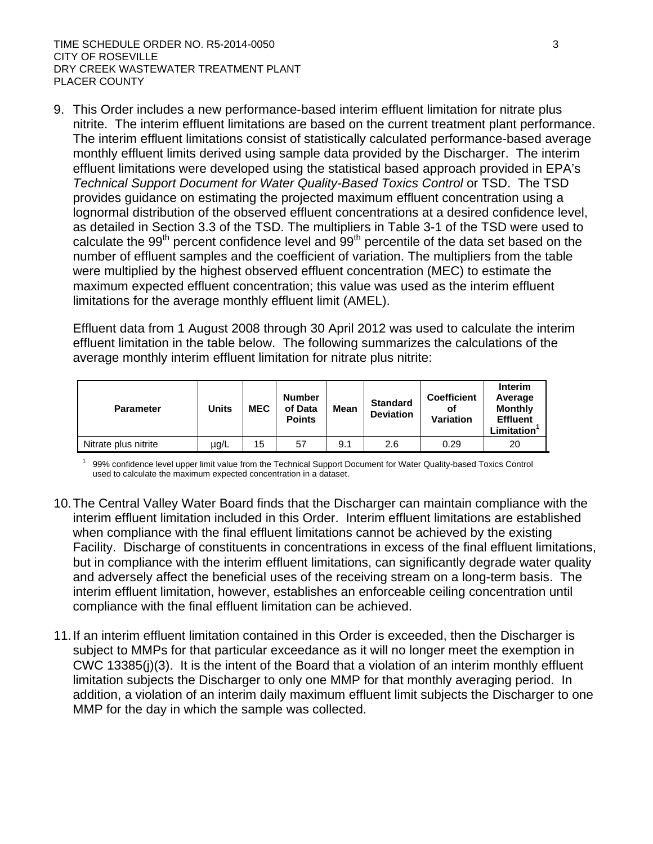9. This Order includes a new performance-based interim effluent limitation for nitrate plus nitrite. The interim effluent limitations are based on the current treatment plant performance. The interim effluent limitations consist of statistically calculated performance-based average monthly effluent limits derived using sample data provided by the Discharger. The interim effluent limitations were developed using the statistical based approach provided in EPA's *Technical Support Document for Water Quality-Based Toxics Control* or TSD. The TSD provides guidance on estimating the projected maximum effluent concentration using a lognormal distribution of the observed effluent concentrations at a desired confidence level, as detailed in Section 3.3 of the TSD. The multipliers in Table 3-1 of the TSD were used to calculate the  $99<sup>th</sup>$  percent confidence level and  $99<sup>th</sup>$  percentile of the data set based on the number of effluent samples and the coefficient of variation. The multipliers from the table were multiplied by the highest observed effluent concentration (MEC) to estimate the maximum expected effluent concentration; this value was used as the interim effluent limitations for the average monthly effluent limit (AMEL).

Effluent data from 1 August 2008 through 30 April 2012 was used to calculate the interim effluent limitation in the table below. The following summarizes the calculations of the average monthly interim effluent limitation for nitrate plus nitrite:

| <b>Parameter</b>     | Units | <b>MEC</b> | <b>Number</b><br>of Data<br><b>Points</b> | Mean | <b>Standard</b><br><b>Deviation</b> | <b>Coefficient</b><br>οf<br><b>Variation</b> | Interim<br>Average<br><b>Monthly</b><br><b>Effluent</b><br>.imitation |
|----------------------|-------|------------|-------------------------------------------|------|-------------------------------------|----------------------------------------------|-----------------------------------------------------------------------|
| Nitrate plus nitrite | µg/L  | 15         | 57                                        | 9.1  | 2.6                                 | 0.29                                         | 20                                                                    |

1 99% confidence level upper limit value from the Technical Support Document for Water Quality-based Toxics Control used to calculate the maximum expected concentration in a dataset.

- 10.The Central Valley Water Board finds that the Discharger can maintain compliance with the interim effluent limitation included in this Order. Interim effluent limitations are established when compliance with the final effluent limitations cannot be achieved by the existing Facility. Discharge of constituents in concentrations in excess of the final effluent limitations, but in compliance with the interim effluent limitations, can significantly degrade water quality and adversely affect the beneficial uses of the receiving stream on a long-term basis. The interim effluent limitation, however, establishes an enforceable ceiling concentration until compliance with the final effluent limitation can be achieved.
- 11.If an interim effluent limitation contained in this Order is exceeded, then the Discharger is subject to MMPs for that particular exceedance as it will no longer meet the exemption in CWC 13385(j)(3). It is the intent of the Board that a violation of an interim monthly effluent limitation subjects the Discharger to only one MMP for that monthly averaging period. In addition, a violation of an interim daily maximum effluent limit subjects the Discharger to one MMP for the day in which the sample was collected.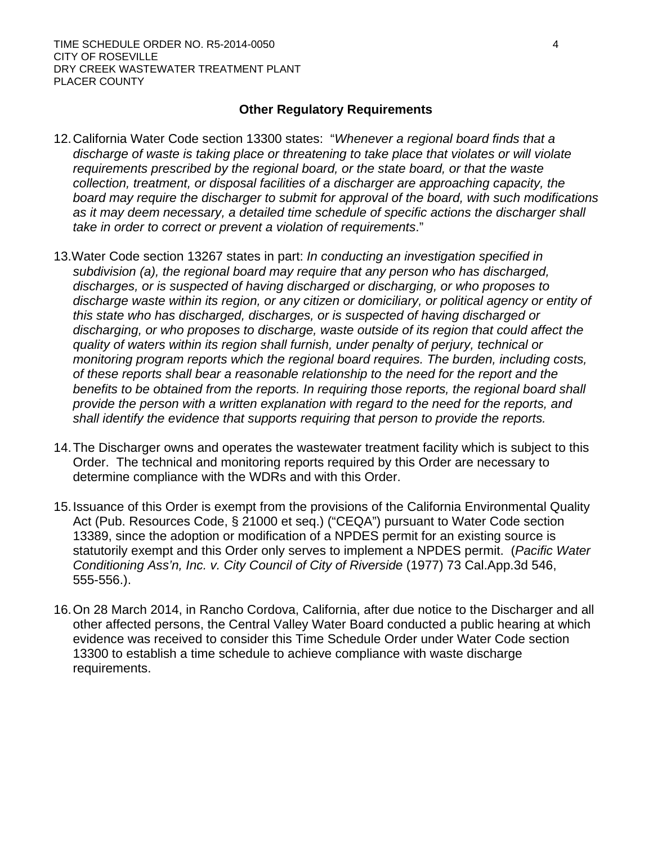### **Other Regulatory Requirements**

- 12.California Water Code section 13300 states: "*Whenever a regional board finds that a discharge of waste is taking place or threatening to take place that violates or will violate requirements prescribed by the regional board, or the state board, or that the waste collection, treatment, or disposal facilities of a discharger are approaching capacity, the board may require the discharger to submit for approval of the board, with such modifications*  as it may deem necessary, a detailed time schedule of specific actions the discharger shall *take in order to correct or prevent a violation of requirements*."
- 13.Water Code section 13267 states in part: *In conducting an investigation specified in subdivision (a), the regional board may require that any person who has discharged, discharges, or is suspected of having discharged or discharging, or who proposes to*  discharge waste within its region, or any citizen or domiciliary, or political agency or entity of *this state who has discharged, discharges, or is suspected of having discharged or discharging, or who proposes to discharge, waste outside of its region that could affect the quality of waters within its region shall furnish, under penalty of perjury, technical or monitoring program reports which the regional board requires. The burden, including costs, of these reports shall bear a reasonable relationship to the need for the report and the benefits to be obtained from the reports. In requiring those reports, the regional board shall provide the person with a written explanation with regard to the need for the reports, and shall identify the evidence that supports requiring that person to provide the reports.*
- 14.The Discharger owns and operates the wastewater treatment facility which is subject to this Order. The technical and monitoring reports required by this Order are necessary to determine compliance with the WDRs and with this Order.
- 15.Issuance of this Order is exempt from the provisions of the California Environmental Quality Act (Pub. Resources Code, § 21000 et seq.) ("CEQA") pursuant to Water Code section 13389, since the adoption or modification of a NPDES permit for an existing source is statutorily exempt and this Order only serves to implement a NPDES permit. (*Pacific Water Conditioning Ass'n, Inc. v. City Council of City of Riverside* (1977) 73 Cal.App.3d 546, 555-556.).
- 16.On 28 March 2014, in Rancho Cordova, California, after due notice to the Discharger and all other affected persons, the Central Valley Water Board conducted a public hearing at which evidence was received to consider this Time Schedule Order under Water Code section 13300 to establish a time schedule to achieve compliance with waste discharge requirements.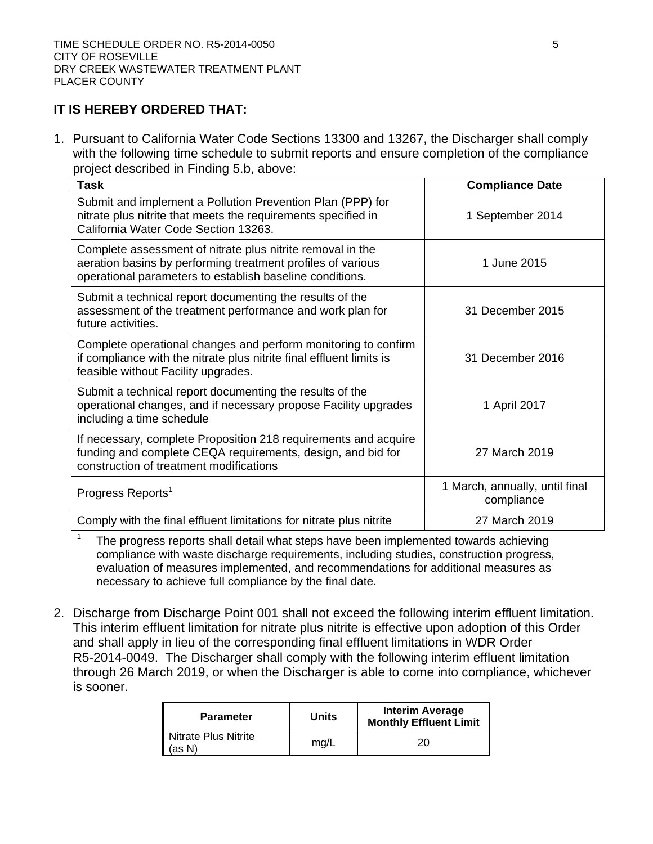#### **IT IS HEREBY ORDERED THAT:**

1. Pursuant to California Water Code Sections 13300 and 13267, the Discharger shall comply with the following time schedule to submit reports and ensure completion of the compliance project described in Finding 5.b, above:

| <b>Task</b>                                                                                                                                                                           | <b>Compliance Date</b>                       |
|---------------------------------------------------------------------------------------------------------------------------------------------------------------------------------------|----------------------------------------------|
| Submit and implement a Pollution Prevention Plan (PPP) for<br>nitrate plus nitrite that meets the requirements specified in<br>California Water Code Section 13263.                   | 1 September 2014                             |
| Complete assessment of nitrate plus nitrite removal in the<br>aeration basins by performing treatment profiles of various<br>operational parameters to establish baseline conditions. | 1 June 2015                                  |
| Submit a technical report documenting the results of the<br>assessment of the treatment performance and work plan for<br>future activities.                                           | 31 December 2015                             |
| Complete operational changes and perform monitoring to confirm<br>if compliance with the nitrate plus nitrite final effluent limits is<br>feasible without Facility upgrades.         | 31 December 2016                             |
| Submit a technical report documenting the results of the<br>operational changes, and if necessary propose Facility upgrades<br>including a time schedule                              | 1 April 2017                                 |
| If necessary, complete Proposition 218 requirements and acquire<br>funding and complete CEQA requirements, design, and bid for<br>construction of treatment modifications             | 27 March 2019                                |
| Progress Reports <sup>1</sup>                                                                                                                                                         | 1 March, annually, until final<br>compliance |
| Comply with the final effluent limitations for nitrate plus nitrite                                                                                                                   | 27 March 2019                                |

<sup>1</sup> The progress reports shall detail what steps have been implemented towards achieving compliance with waste discharge requirements, including studies, construction progress, evaluation of measures implemented, and recommendations for additional measures as necessary to achieve full compliance by the final date.

2. Discharge from Discharge Point 001 shall not exceed the following interim effluent limitation. This interim effluent limitation for nitrate plus nitrite is effective upon adoption of this Order and shall apply in lieu of the corresponding final effluent limitations in WDR Order R5-2014-0049. The Discharger shall comply with the following interim effluent limitation through 26 March 2019, or when the Discharger is able to come into compliance, whichever is sooner.

| <b>Parameter</b>                            | <b>Units</b> | <b>Interim Average</b><br><b>Monthly Effluent Limit</b> |
|---------------------------------------------|--------------|---------------------------------------------------------|
| Nitrate Plus Nitrite<br>$\mathsf{I}$ (as N) | mg/L         | 20                                                      |